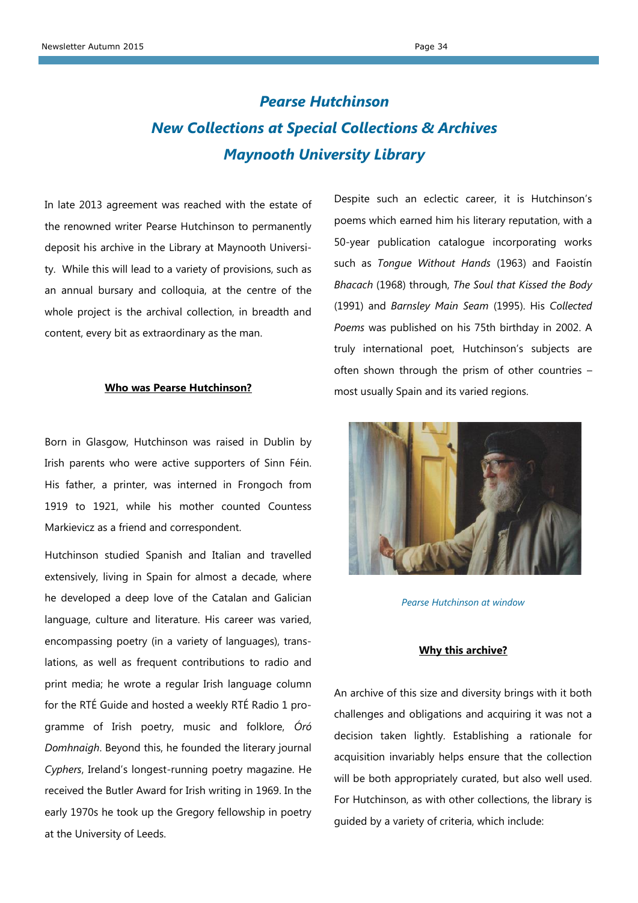# *Pearse Hutchinson New Collections at Special Collections & Archives Maynooth University Library*

In late 2013 agreement was reached with the estate of the renowned writer Pearse Hutchinson to permanently deposit his archive in the Library at Maynooth University. While this will lead to a variety of provisions, such as an annual bursary and colloquia, at the centre of the whole project is the archival collection, in breadth and content, every bit as extraordinary as the man.

#### **Who was Pearse Hutchinson?**

Born in Glasgow, Hutchinson was raised in Dublin by Irish parents who were active supporters of Sinn Féin. His father, a printer, was interned in Frongoch from 1919 to 1921, while his mother counted Countess Markievicz as a friend and correspondent.

Hutchinson studied Spanish and Italian and travelled extensively, living in Spain for almost a decade, where he developed a deep love of the Catalan and Galician language, culture and literature. His career was varied, encompassing poetry (in a variety of languages), translations, as well as frequent contributions to radio and print media; he wrote a regular Irish language column for the RTÉ Guide and hosted a weekly RTÉ Radio 1 programme of Irish poetry, music and folklore, *Óró Domhnaigh*. Beyond this, he founded the literary journal *Cyphers*, Ireland's longest-running poetry magazine. He received the Butler Award for Irish writing in 1969. In the early 1970s he took up the Gregory fellowship in poetry at the University of Leeds.

Despite such an eclectic career, it is Hutchinson's poems which earned him his literary reputation, with a 50-year publication catalogue incorporating works such as *Tongue Without Hands* (1963) and Faoistín *Bhacach* (1968) through, *The Soul that Kissed the Body* (1991) and *Barnsley Main Seam* (1995). His *Collected Poems* was published on his 75th birthday in 2002. A truly international poet, Hutchinson's subjects are often shown through the prism of other countries – most usually Spain and its varied regions.



*Pearse Hutchinson at window*

#### **Why this archive?**

An archive of this size and diversity brings with it both challenges and obligations and acquiring it was not a decision taken lightly. Establishing a rationale for acquisition invariably helps ensure that the collection will be both appropriately curated, but also well used. For Hutchinson, as with other collections, the library is guided by a variety of criteria, which include: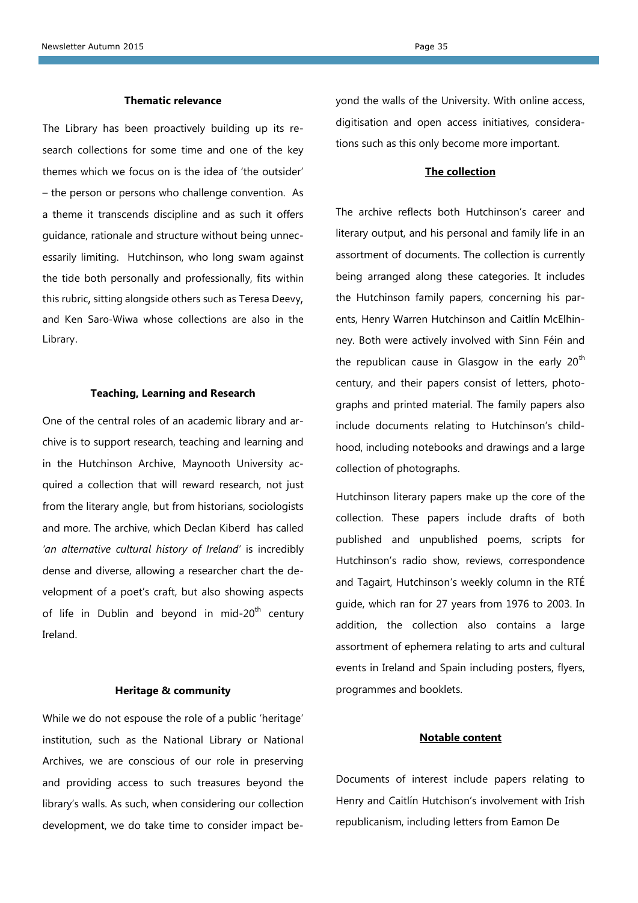### **Thematic relevance**

The Library has been proactively building up its research collections for some time and one of the key themes which we focus on is the idea of 'the outsider' – the person or persons who challenge convention. As a theme it transcends discipline and as such it offers guidance, rationale and structure without being unnecessarily limiting. Hutchinson, who long swam against the tide both personally and professionally, fits within this rubric, sitting alongside others such as Teresa Deevy, and Ken Saro-Wiwa whose collections are also in the Library.

#### **Teaching, Learning and Research**

One of the central roles of an academic library and archive is to support research, teaching and learning and in the Hutchinson Archive, Maynooth University acquired a collection that will reward research, not just from the literary angle, but from historians, sociologists and more. The archive, which Declan Kiberd has called *'an alternative cultural history of Ireland'* is incredibly dense and diverse, allowing a researcher chart the development of a poet's craft, but also showing aspects of life in Dublin and beyond in mid-20<sup>th</sup> century Ireland.

#### **Heritage & community**

While we do not espouse the role of a public 'heritage' institution, such as the National Library or National Archives, we are conscious of our role in preserving and providing access to such treasures beyond the library's walls. As such, when considering our collection development, we do take time to consider impact beyond the walls of the University. With online access, digitisation and open access initiatives, considerations such as this only become more important.

# **The collection**

The archive reflects both Hutchinson's career and literary output, and his personal and family life in an assortment of documents. The collection is currently being arranged along these categories. It includes the Hutchinson family papers, concerning his parents, Henry Warren Hutchinson and Caitlín McElhinney. Both were actively involved with Sinn Féin and the republican cause in Glasgow in the early  $20<sup>th</sup>$ century, and their papers consist of letters, photographs and printed material. The family papers also include documents relating to Hutchinson's childhood, including notebooks and drawings and a large collection of photographs.

Hutchinson literary papers make up the core of the collection. These papers include drafts of both published and unpublished poems, scripts for Hutchinson's radio show, reviews, correspondence and Tagairt, Hutchinson's weekly column in the RTÉ guide, which ran for 27 years from 1976 to 2003. In addition, the collection also contains a large assortment of ephemera relating to arts and cultural events in Ireland and Spain including posters, flyers, programmes and booklets.

# **Notable content**

Documents of interest include papers relating to Henry and Caitlín Hutchison's involvement with Irish republicanism, including letters from Eamon De